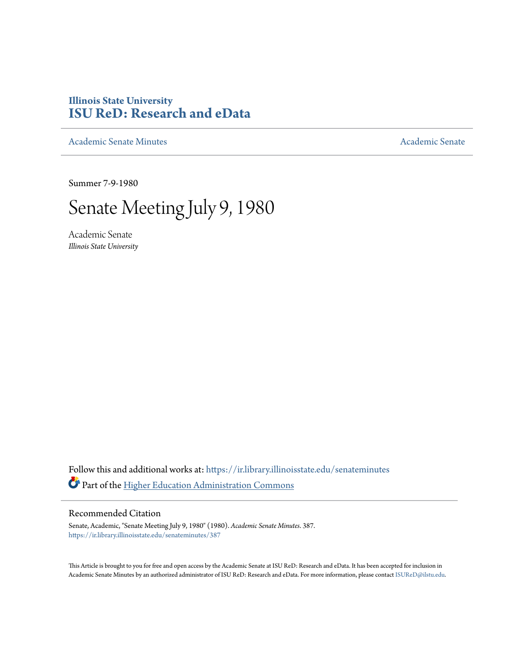# **Illinois State University [ISU ReD: Research and eData](https://ir.library.illinoisstate.edu?utm_source=ir.library.illinoisstate.edu%2Fsenateminutes%2F387&utm_medium=PDF&utm_campaign=PDFCoverPages)**

[Academic Senate Minutes](https://ir.library.illinoisstate.edu/senateminutes?utm_source=ir.library.illinoisstate.edu%2Fsenateminutes%2F387&utm_medium=PDF&utm_campaign=PDFCoverPages) [Academic Senate](https://ir.library.illinoisstate.edu/senate?utm_source=ir.library.illinoisstate.edu%2Fsenateminutes%2F387&utm_medium=PDF&utm_campaign=PDFCoverPages) Academic Senate

Summer 7-9-1980

# Senate Meeting July 9, 1980

Academic Senate *Illinois State University*

Follow this and additional works at: [https://ir.library.illinoisstate.edu/senateminutes](https://ir.library.illinoisstate.edu/senateminutes?utm_source=ir.library.illinoisstate.edu%2Fsenateminutes%2F387&utm_medium=PDF&utm_campaign=PDFCoverPages) Part of the [Higher Education Administration Commons](http://network.bepress.com/hgg/discipline/791?utm_source=ir.library.illinoisstate.edu%2Fsenateminutes%2F387&utm_medium=PDF&utm_campaign=PDFCoverPages)

# Recommended Citation

Senate, Academic, "Senate Meeting July 9, 1980" (1980). *Academic Senate Minutes*. 387. [https://ir.library.illinoisstate.edu/senateminutes/387](https://ir.library.illinoisstate.edu/senateminutes/387?utm_source=ir.library.illinoisstate.edu%2Fsenateminutes%2F387&utm_medium=PDF&utm_campaign=PDFCoverPages)

This Article is brought to you for free and open access by the Academic Senate at ISU ReD: Research and eData. It has been accepted for inclusion in Academic Senate Minutes by an authorized administrator of ISU ReD: Research and eData. For more information, please contact [ISUReD@ilstu.edu.](mailto:ISUReD@ilstu.edu)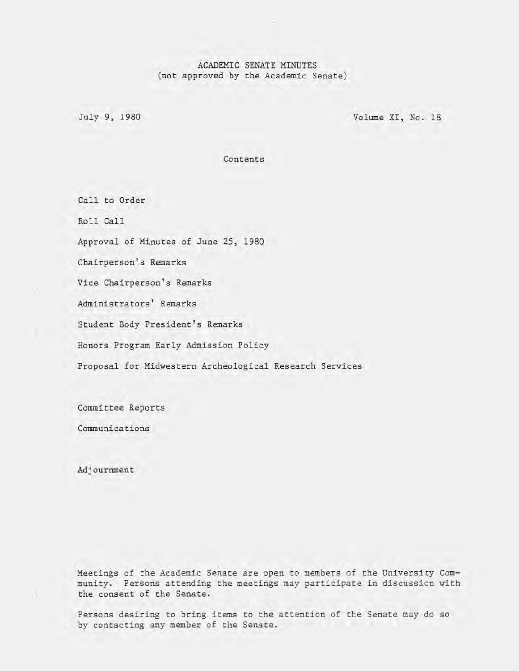# ACADEMIC SENATE MINUTES (not approved by the Academic Senate)

July 9, 1980 Volume XI, No. 18

Contents

Call to Order

Roll Call

Approval of Minutes of June 25, 1980

Chairperson's Remarks

Vice Chairperson's Remarks

Administrators' Remarks

Student Body President's Remarks

Honors Program Early Admission Policy

Proposal for Midwestern Archeological Research Services

Committee Reports

Communications

Adjournment

Meetings of the Academic Senate are open to members of the University Community. Persons attending the meetings may participate in discussion with the consent of the Senate.

Persons desiring to bring items to the attention of the Senate may do so by contacting any member of the Senate.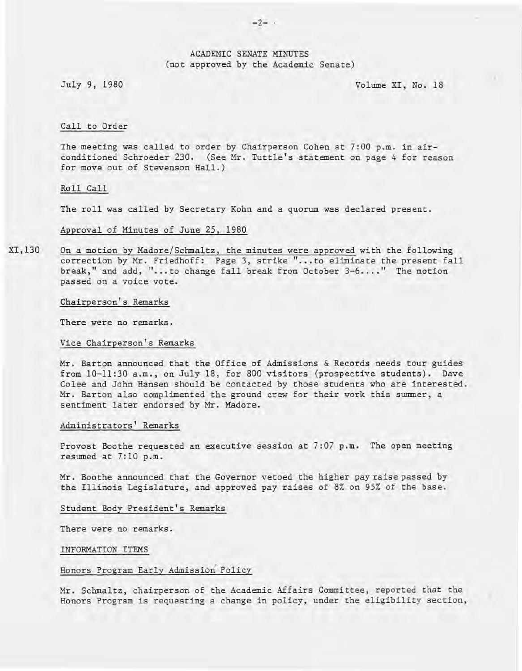# ACADEMIC SENATE MINUTES (not approved by the Academic Senate)

July 9, 1980 Volume XI, No. 18

# Call to Order

The meeting was called to order by Chairperson Cohen at 7:00 p.m. in airconditioned Schroeder 230. (See Mr. Tuttle's statement on page 4 for reason for move out of Stevenson Hall.)

Roll Call

The roll was called by Secretary Kohn and a quorum was declared present.

Approval of Minutes of June 25, 1980

XI,130 On a motion by Madore/Schmaltz, the minutes were approved with the following correction by Mr. Friedhoff: Page 3, strike "... to eliminate the present fall break," and add, "...to change fall break from October 3-6...." The motion passed on a voice vote.

Chairperson's Remarks

There were no remarks.

Vice Chairperson's Remarks

Mr. Barton announced that the Office of Admissions & Records needs tour guides from 10-11:30 a.m., on July 18, for 800 visitors (prospective students). Dave Colee and John Hansen should be contacted by those students who are interested. Mr. Barton also complimented the ground crew for their work this summer, a sentiment later endorsed by Mr. Madore.

#### Administrators' Remarks

Provost Boothe requested an executive session at 7:07 p.m. The open meeting resumed at 7:10 p.m.

Mr. Boothe announced that the Governor vetoed the higher pay raise passed by the Illinois Legislature, and approved pay raises of 8% on 95% of the base .

# Student Body President's Remarks

There were no remarks.

INFORMATION ITEMS

# Honors Program Early Admission Policy

Mr. Schmaltz, chairperson of the Academic Affairs Committee, reported that the Honors Program is requesting a change in policy, under the eligibility section,

 $-2-$  .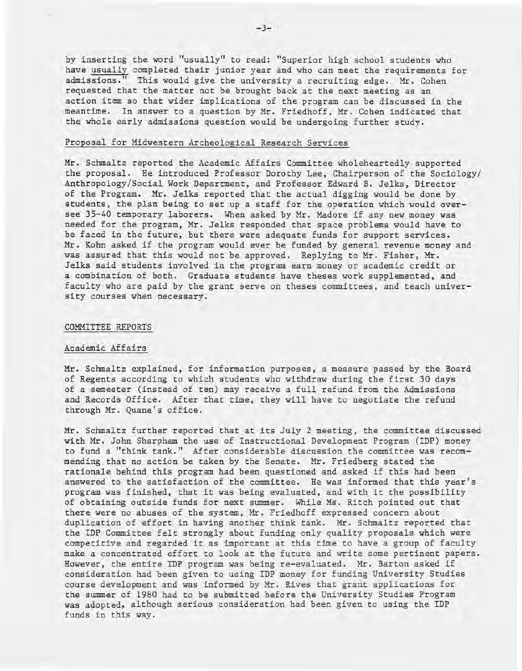by inserting the word "usually" to read: "Superior high school students who have usually completed their junior year and who can meet the requirements for admissions." This would give the university a recruiting edge. Mr. Cohen requested that the matter not be brought back at the next meeting as an action item so that wider implications of the program can be discussed in the meantime. In answer to a question by Mr. Friedhoff, Mr. Cohen indicated that the whole early admissions question would be undergoing further study.

# Proposal for Midwestern Archeological Research Services

Mr. Schmaltz reported the Academic Affairs Committee wholeheartedly supported the proposal. He introduced Professor Dorothy Lee, Chairperson of the Sociology/ Anthropology/Social Work Department, and Professor Edward B. Jelks, Director of the Program. Mr. Jelks reported that the actual digging would be done by students, the plan being to set up a staff for the operation which would oversee 35-40 temporary laborers. When asked by Mr. Madore if any new money was needed for the program, Mr. Jelks responded that space problems would have to be faced in the future, but there were adequate funds for support services. Mr. Kohn asked if the program would ever be funded by general revenue money and was assured that this would not be approved. Replying to Mr. Fisher, Mr. Jelks said students involved in the program earn money or academic credit or a combination of both. Graduate students have theses work supplemented,and faculty who are paid by the grant serve on theses committees, and teach university courses when necessary.

#### COMMITTEE REPORTS

## Academic Affairs

Mr. Schmaltz explained, for information purposes, a measure passed by the Board of Regents according to which students who withdraw during the first 30 days <sup>I</sup> of a semester (instead of ten) may receive a full refund from the Admissions and Records Office. After that time, they will have to negotiate the refund through Mr. Quane's office.

Mr. Schmaltz further reported that at its July 2 meeting, the committee discussed with Mr. John Sharpham the use of Instructional Development Program (IDP) money to fund a "think tank." After considerable discussion the committee was recommending that no action be taken by the Senate. Mr. Friedberg stated the rationale behind this program had been questioned and asked if this had been answered to the satisfaction of the committee. He was informed that this year's program was finished, that it was being evaluated, and with it the possibility of obtaining outside funds for next summer. While Ms. Ritch pointed out that there were no abuses of the system, Mr. Friedhoff expressed concern about duplication of effort in having another think tank. Mr. Schmaltz reported that the IDP Committee felt strongly about funding only quality proposals which were competitive and regarded it as important at this time to have a group of faculty make a concentrated effort to look at the future and write some pertinent papers. However, the entire IDP program was being re-evaluated. Mr. Barton asked if consideration had been given to using IDP money for funding University Studies course development and was informed by Mr. Rives that grant applications for the summer of 1980 had to be submitted before the University Studies Program was adopted, although serious consideration had been given to using the IDP funds in this way.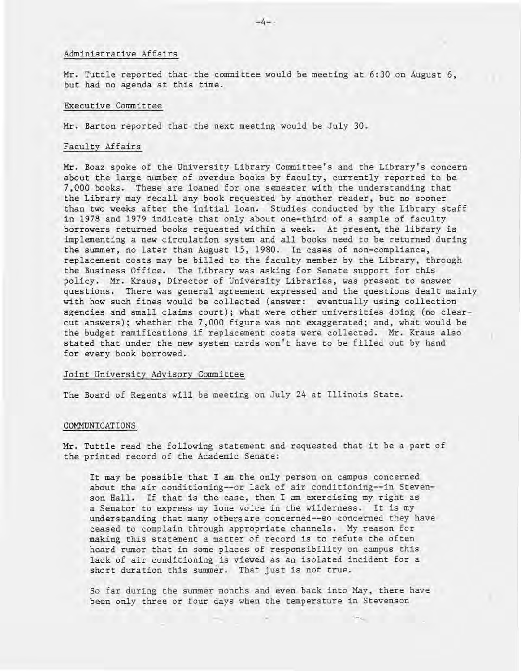# Administrative Affairs

Mr. Tuttle reported that the committee would be meeting at 6:30 on August 6, but had no agenda at this time.

## Executive Committee

Mr. Barton reported that the next meeting would be July 30.

## Faculty Affairs

Mr. Boaz spoke of the University Library Committee's and the Library's concern about the large number of overdue books by faculty, currently reported to be 7,000 books. These are loaned for one semester with the understanding that the Library may recall any book requested by another reader, but no sooner than two weeks after the initial loan. Studies conducted by the Library staff in 1978 and 1979 indicate that only about one-third of a sample of faculty borrowers returned books requested within a week. At present, the library is implementing a new circulation system and all books need to be returned during the summer, no later than August 15, 1980. In cases of non-compliance, replacement costs may be billed to the faculty member by the Library, through the Business Office. The Library was asking for Senate support for this policy. Mr. Kraus, Director of University Libraries, was present to answer questions. There was general agreement expressed and the questions dealt mainly with how such fines would be collected (answer: eventually using- collection agencies and small claims court); what were other universities doing (no clearcut answers); whether the 7,000 figure was not exaggerated; and, what would be the budget ramifications if replacement costs were collected. Mr. Kraus also stated that under the new system cards won't have to be filled out by hand for every book borrowed.

#### Joint University Advisory Committee

The Board of Regents will be meeting on July 24 at Illinois State.

# COMMUNICATIONS

Mr. Tuttle read the following statement and requested that it be a part of the printed record of the Academic Senate:

It may be possible that I am the only person on campus concerned about the air conditioning--or lack of air conditioning--in Stevenson Hall. If that is the case, then I am exercising my right as a Senator to express my lone voice in the wilderness. It is my understanding that many others are concerned--so concerned they have ceased to complain through appropriate channels. My reason for making this statement a matter of record is to refute the often heard rumor that in some places of responsibility on campus this lack of air conditioning is viewed as an isolated incident for a short duration this summer. That just is not true.

So far during the summer months and even back into May, there have been only three or four days when the temperature in Stevenson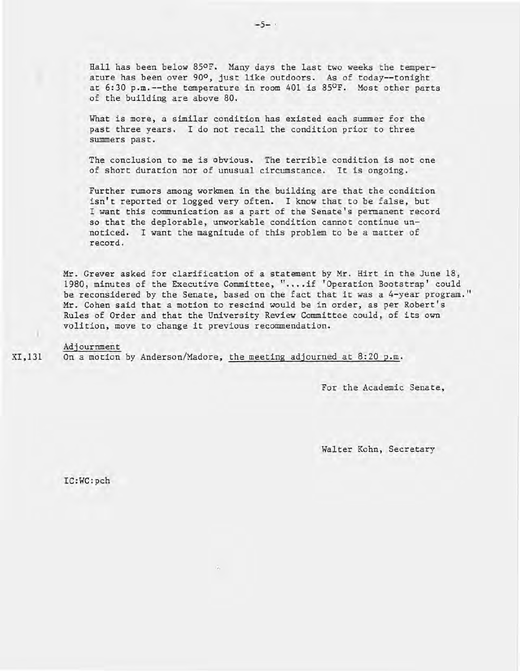Hall has been below 850F. Many days the last two weeks the temperature has been over 90°, just like outdoors. As of today--tonight at  $6:30$  p.m.--the temperature in room  $401$  is  $85^{\circ}$ F. Most other parts of the building are above 80.

What is more, a similar condition has existed each summer for the past three years. I do not recall the condition prior to three summers past.

The conclusion to me is obvious. The terrible condition is not one of short duration nor of unusual circumstance. It is ongoing.

Further rumors among workmen in the building are that the condition isn't reported or logged very often. I know that to be false, but I want this communication as a part of the Senate's permanent record so that the deplorable, unworkable condition cannot continue unnoticed. I want the magnitude of this problem to be a matter of record.

Mr. Grever asked for clarification of a statement by Mr. Hirt in the June 18, 1980, minutes of the Executive Committee, ".... if 'Operation Bootstrap' could be reconsidered by the Senate, based on the fact that it was a 4-year program." Mr. Cohen said that a motion to rescind would be in order, as per Robert's Rules of Order and that the University Review Committee could, of its own volition, move to change it previous recommendation.

XI,131 Adjournment On a motion by Anderson/Madore, the meeting adjourned at 8:20 p.m.

For the Academic Senate,

Walter Kohn, Secretary

IC:WC:pch